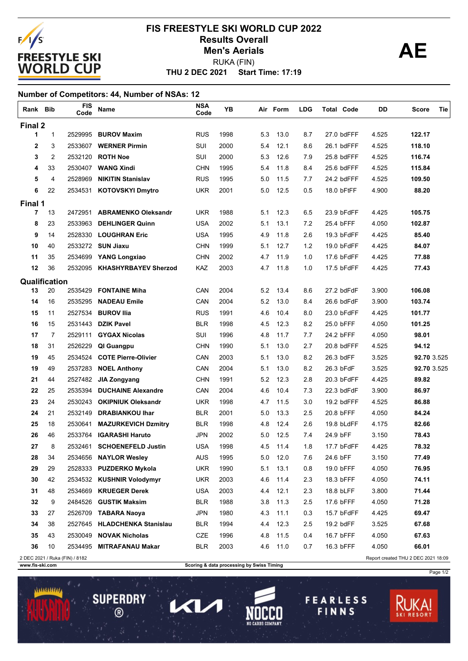

### **THU 2 DEC 2021 Start Time: 17:19 FIS FREESTYLE SKI WORLD CUP 2022 Results Overall AE** RUKA (FIN) **Men's Aerials**

### **Number of Competitors: 44, Number of NSAs: 12**

| Rank Bib                                                                                                                              |                | <b>FIS</b><br>Code | Name                         | <b>NSA</b><br>Code | YB   |     | Air Form | LDG | <b>Total Code</b> | DD    | Tie<br><b>Score</b> |
|---------------------------------------------------------------------------------------------------------------------------------------|----------------|--------------------|------------------------------|--------------------|------|-----|----------|-----|-------------------|-------|---------------------|
| Final 2                                                                                                                               |                |                    |                              |                    |      |     |          |     |                   |       |                     |
| 1                                                                                                                                     | $\mathbf{1}$   | 2529995            | <b>BUROV Maxim</b>           | <b>RUS</b>         | 1998 | 5.3 | 13.0     | 8.7 | 27.0 bdFFF        | 4.525 | 122.17              |
| $\mathbf{2}$                                                                                                                          | 3              | 2533607            | <b>WERNER Pirmin</b>         | <b>SUI</b>         | 2000 | 5.4 | 12.1     | 8.6 | 26.1 bdFFF        | 4.525 | 118.10              |
| 3                                                                                                                                     | 2              | 2532120            | <b>ROTH Noe</b>              | SUI                | 2000 | 5.3 | 12.6     | 7.9 | 25.8 bdFFF        | 4.525 | 116.74              |
| 4                                                                                                                                     | 33             | 2530407            | <b>WANG Xindi</b>            | <b>CHN</b>         | 1995 | 5.4 | 11.8     | 8.4 | 25.6 bdFFF        | 4.525 | 115.84              |
| 5                                                                                                                                     | 4              | 2528969            | <b>NIKITIN Stanislav</b>     | <b>RUS</b>         | 1995 | 5.0 | 11.5     | 7.7 | 24.2 bdFFF        | 4.525 | 109.50              |
| 6                                                                                                                                     | 22             | 2534531            | <b>KOTOVSKYI Dmytro</b>      | <b>UKR</b>         | 2001 | 5.0 | 12.5     | 0.5 | 18.0 bFtFF        | 4.900 | 88.20               |
| Final 1                                                                                                                               |                |                    |                              |                    |      |     |          |     |                   |       |                     |
| $\overline{7}$                                                                                                                        | 13             | 2472951            | <b>ABRAMENKO Oleksandr</b>   | UKR                | 1988 | 5.1 | 12.3     | 6.5 | 23.9 bFdFF        | 4.425 | 105.75              |
| 8                                                                                                                                     | 23             | 2533963            | <b>DEHLINGER Quinn</b>       | <b>USA</b>         | 2002 | 5.1 | 13.1     | 7.2 | 25.4 bFFF         | 4.050 | 102.87              |
| 9                                                                                                                                     | 14             | 2528330            | <b>LOUGHRAN Eric</b>         | USA                | 1995 | 4.9 | 11.8     | 2.6 | 19.3 bFdFF        | 4.425 | 85.40               |
| 10                                                                                                                                    | 40             | 2533272            | <b>SUN Jiaxu</b>             | <b>CHN</b>         | 1999 | 5.1 | 12.7     | 1.2 | 19.0 bFdFF        | 4.425 | 84.07               |
| 11                                                                                                                                    | 35             | 2534699            | <b>YANG Longxiao</b>         | <b>CHN</b>         | 2002 | 4.7 | 11.9     | 1.0 | 17.6 bFdFF        | 4.425 | 77.88               |
| 12                                                                                                                                    | 36             | 2532095            | <b>KHASHYRBAYEV Sherzod</b>  | KAZ                | 2003 | 4.7 | 11.8     | 1.0 | 17.5 bFdFF        | 4.425 | 77.43               |
| Qualification                                                                                                                         |                |                    |                              |                    |      |     |          |     |                   |       |                     |
| 13                                                                                                                                    | 20             | 2535429            | <b>FONTAINE Miha</b>         | CAN                | 2004 | 5.2 | 13.4     | 8.6 | 27.2 bdFdF        | 3.900 | 106.08              |
| 14                                                                                                                                    | 16             | 2535295            | <b>NADEAU Emile</b>          | CAN                | 2004 | 5.2 | 13.0     | 8.4 | 26.6 bdFdF        | 3.900 | 103.74              |
| 15                                                                                                                                    | 11             | 2527534            | <b>BUROV IIIa</b>            | <b>RUS</b>         | 1991 | 4.6 | 10.4     | 8.0 | 23.0 bFdFF        | 4.425 | 101.77              |
| 16                                                                                                                                    | 15             | 2531443            | <b>DZIK Pavel</b>            | <b>BLR</b>         | 1998 | 4.5 | 12.3     | 8.2 | 25.0 bFFF         | 4.050 | 101.25              |
| 17                                                                                                                                    | $\overline{7}$ | 2529111            | <b>GYGAX Nicolas</b>         | SUI                | 1996 | 4.8 | 11.7     | 7.7 | 24.2 bFFF         | 4.050 | 98.01               |
| 18                                                                                                                                    | 31             | 2526229            | QI Guangpu                   | <b>CHN</b>         | 1990 | 5.1 | 13.0     | 2.7 | 20.8 bdFFF        | 4.525 | 94.12               |
| 19                                                                                                                                    | 45             | 2534524            | <b>COTE Pierre-Olivier</b>   | CAN                | 2003 | 5.1 | 13.0     | 8.2 | 26.3 bdFF         | 3.525 | 92.70 3.525         |
| 19                                                                                                                                    | 49             | 2537283            | <b>NOEL Anthony</b>          | CAN                | 2004 | 5.1 | 13.0     | 8.2 | 26.3 bFdF         | 3.525 | 92.70 3.525         |
| 21                                                                                                                                    | 44             | 2527482            | JIA Zongyang                 | <b>CHN</b>         | 1991 | 5.2 | 12.3     | 2.8 | 20.3 bFdFF        | 4.425 | 89.82               |
| 22                                                                                                                                    | 25             | 2535394            | <b>DUCHAINE Alexandre</b>    | CAN                | 2004 | 4.6 | 10.4     | 7.3 | 22.3 bdFdF        | 3.900 | 86.97               |
| 23                                                                                                                                    | 24             | 2530243            | <b>OKIPNIUK Oleksandr</b>    | UKR                | 1998 | 4.7 | 11.5     | 3.0 | 19.2 bdFFF        | 4.525 | 86.88               |
| 24                                                                                                                                    | 21             | 2532149            | <b>DRABIANKOU Ihar</b>       | <b>BLR</b>         | 2001 | 5.0 | 13.3     | 2.5 | 20.8 bFFF         | 4.050 | 84.24               |
| 25                                                                                                                                    | 18             | 2530641            | <b>MAZURKEVICH Dzmitry</b>   | <b>BLR</b>         | 1998 | 4.8 | 12.4     | 2.6 | 19.8 bLdFF        | 4.175 | 82.66               |
| 26                                                                                                                                    | 46             | 2533764            | <b>IGARASHI Haruto</b>       | <b>JPN</b>         | 2002 | 5.0 | 12.5     | 7.4 | 24.9 bFF          | 3.150 | 78.43               |
| 27                                                                                                                                    | 8              | 2532461            | <b>SCHOENEFELD Justin</b>    | <b>USA</b>         | 1998 | 4.5 | 11.4     | 1.8 | 17.7 bFdFF        | 4.425 | 78.32               |
| 28                                                                                                                                    | 34             |                    | 2534656 NAYLOR Wesley        | <b>AUS</b>         | 1995 | 5.0 | 12.0     | 7.6 | 24.6 bFF          | 3.150 | 77.49               |
| 29                                                                                                                                    | 29             |                    | 2528333 PUZDERKO Mykola      | <b>UKR</b>         | 1990 | 5.1 | 13.1     | 0.8 | 19.0 bFFF         | 4.050 | 76.95               |
| 30                                                                                                                                    | 42             |                    | 2534532 KUSHNIR Volodymyr    | <b>UKR</b>         | 2003 | 4.6 | 11.4     | 2.3 | 18.3 bFFF         | 4.050 | 74.11               |
| 31                                                                                                                                    | 48             | 2534669            | <b>KRUEGER Derek</b>         | <b>USA</b>         | 2003 | 4.4 | 12.1     | 2.3 | 18.8 bLFF         | 3.800 | 71.44               |
| 32                                                                                                                                    | 9              | 2484526            | <b>GUSTIK Maksim</b>         | <b>BLR</b>         | 1988 | 3.8 | 11.3     | 2.5 | 17.6 bFFF         | 4.050 | 71.28               |
| 33                                                                                                                                    | 27             |                    | 2526709 TABARA Naoya         | <b>JPN</b>         | 1980 | 4.3 | 11.1     | 0.3 | 15.7 bFdFF        | 4.425 | 69.47               |
| 34                                                                                                                                    | 38             |                    | 2527645 HLADCHENKA Stanislau | <b>BLR</b>         | 1994 | 4.4 | 12.3     | 2.5 | 19.2 bdFF         | 3.525 | 67.68               |
| 35                                                                                                                                    | 43             | 2530049            | <b>NOVAK Nicholas</b>        | CZE                | 1996 | 4.8 | 11.5     | 0.4 | 16.7 bFFF         | 4.050 | 67.63               |
| 36                                                                                                                                    | 10             | 2534495            | <b>MITRAFANAU Makar</b>      | <b>BLR</b>         | 2003 | 4.6 | 11.0     | 0.7 | 16.3 bFFF         | 4.050 | 66.01               |
| Report created THU 2 DEC 2021 18:09<br>2 DEC 2021 / Ruka (FIN) / 8182<br>Scoring & data processing by Swiss Timing<br>www.fis-ski.com |                |                    |                              |                    |      |     |          |     |                   |       |                     |

**SUPERDRY** 

 $\circledR$ 

Π

くし

**FEARLESS** 

FINNS

Page 1/2